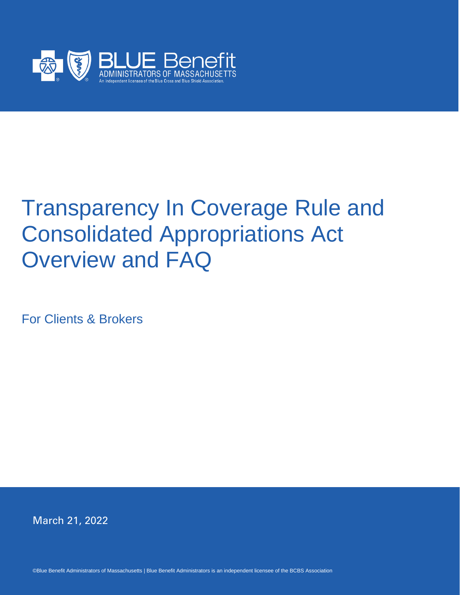

# Transparency In Coverage Rule and Consolidated Appropriations Act Overview and FAQ

For Clients & Brokers

March 21, 2022

©Blue Benefit Administrators of Massachusetts | Blue Benefit Administrators is an independent licensee of the BCBS Association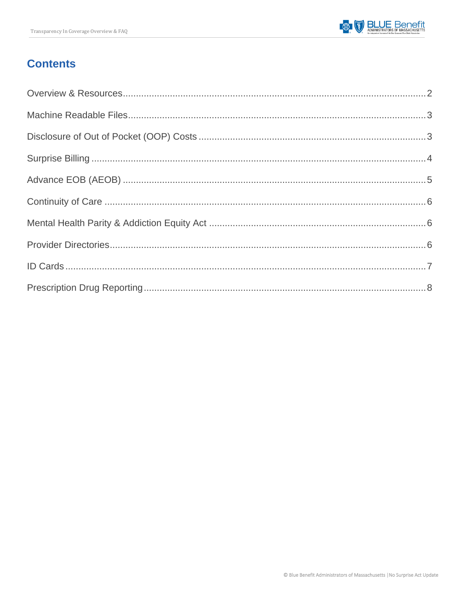## **Contents**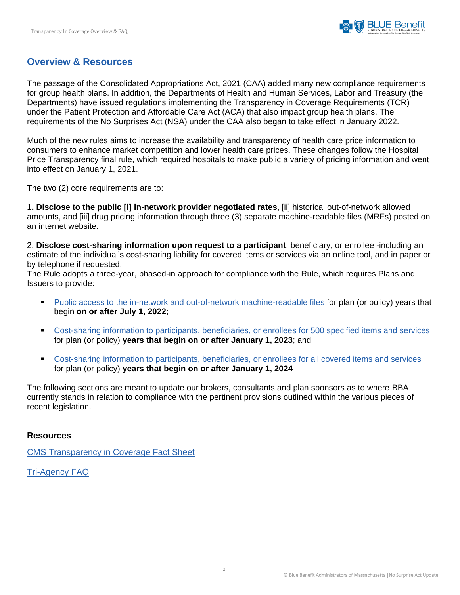## <span id="page-2-0"></span>**Overview & Resources**

The passage of the Consolidated Appropriations Act, 2021 (CAA) added many new compliance requirements for group health plans. In addition, the Departments of Health and Human Services, Labor and Treasury (the Departments) have issued regulations implementing the Transparency in Coverage Requirements (TCR) under the Patient Protection and Affordable Care Act (ACA) that also impact group health plans. The requirements of the No Surprises Act (NSA) under the CAA also began to take effect in January 2022.

Much of the new rules aims to increase the availability and transparency of health care price information to consumers to enhance market competition and lower health care prices. These changes follow the Hospital Price Transparency final rule, which required hospitals to make public a variety of pricing information and went into effect on January 1, 2021.

The two (2) core requirements are to:

1**. Disclose to the public [i] in-network provider negotiated rates**, [ii] historical out-of-network allowed amounts, and [iii] drug pricing information through three (3) separate machine-readable files (MRFs) posted on an internet website.

2. **Disclose cost-sharing information upon request to a participant**, beneficiary, or enrollee -including an estimate of the individual's cost-sharing liability for covered items or services via an online tool, and in paper or by telephone if requested.

The Rule adopts a three-year, phased-in approach for compliance with the Rule, which requires Plans and Issuers to provide:

- Public access to the in-network and out-of-network machine-readable files for plan (or policy) years that begin **on or after July 1, 2022**;
- Cost-sharing information to participants, beneficiaries, or enrollees for 500 specified items and services for plan (or policy) **years that begin on or after January 1, 2023**; and
- Cost-sharing information to participants, beneficiaries, or enrollees for all covered items and services for plan (or policy) **years that begin on or after January 1, 2024**

The following sections are meant to update our brokers, consultants and plan sponsors as to where BBA currently stands in relation to compliance with the pertinent provisions outlined within the various pieces of recent legislation.

#### **Resources**

[CMS Transparency in Coverage Fact Sheet](https://www.cms.gov/newsroom/fact-sheets/transparency-coverage-final-rule-fact-sheet-cms-9915-f)

[Tri-Agency FAQ](http://www.dol.gov/sites/dolgov/files/EBSA/about-ebsa/our-activities/resource-center/faqs/aca-part-49.pdf)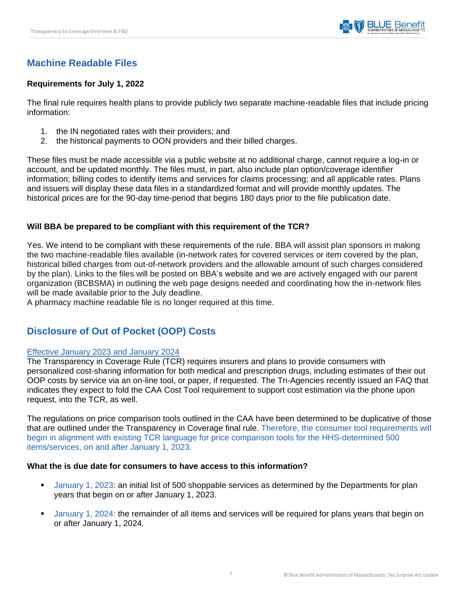## <span id="page-3-0"></span>**Machine Readable Files**

## **Requirements for July 1, 2022**

The final rule requires health plans to provide publicly two separate machine-readable files that include pricing information:

- 1. the IN negotiated rates with their providers; and
- 2. the historical payments to OON providers and their billed charges.

These files must be made accessible via a public website at no additional charge, cannot require a log-in or account, and be updated monthly. The files must, in part, also include plan option/coverage identifier information; billing codes to identify items and services for claims processing; and all applicable rates. Plans and issuers will display these data files in a standardized format and will provide monthly updates. The historical prices are for the 90-day time-period that begins 180 days prior to the file publication date.

## **Will BBA be prepared to be compliant with this requirement of the TCR?**

Yes. We intend to be compliant with these requirements of the rule. BBA will assist plan sponsors in making the two machine-readable files available (in-network rates for covered services or item covered by the plan, historical billed charges from out-of-network providers and the allowable amount of such charges considered by the plan). Links to the files will be posted on BBA's website and we are actively engaged with our parent organization (BCBSMA) in outlining the web page designs needed and coordinating how the in-network files will be made available prior to the July deadline.

A pharmacy machine readable file is no longer required at this time.

## <span id="page-3-1"></span>**Disclosure of Out of Pocket (OOP) Costs**

#### Effective January 2023 and January 2024

The Transparency in Coverage Rule (TCR) requires insurers and plans to provide consumers with personalized cost-sharing information for both medical and prescription drugs, including estimates of their out OOP costs by service via an on-line tool, or paper, if requested. The Tri-Agencies recently issued an FAQ that indicates they expect to fold the CAA Cost Tool requirement to support cost estimation via the phone upon request, into the TCR, as well.

The regulations on price comparison tools outlined in the CAA have been determined to be duplicative of those that are outlined under the Transparency in Coverage final rule. Therefore, the consumer tool requirements will begin in alignment with existing TCR language for price comparison tools for the HHS-determined 500 items/services, on and after January 1, 2023.

#### **What the is due date for consumers to have access to this information?**

- January 1, 2023: an initial list of 500 shoppable services as determined by the Departments for plan years that begin on or after January 1, 2023.
- January 1, 2024: the remainder of all items and services will be required for plans years that begin on or after January 1, 2024.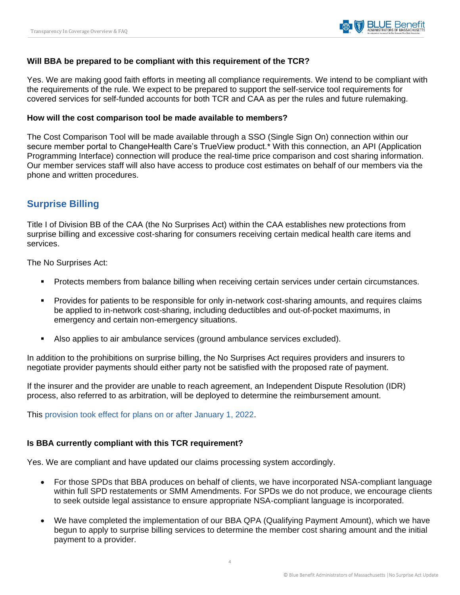

#### **Will BBA be prepared to be compliant with this requirement of the TCR?**

Yes. We are making good faith efforts in meeting all compliance requirements. We intend to be compliant with the requirements of the rule. We expect to be prepared to support the self-service tool requirements for covered services for self-funded accounts for both TCR and CAA as per the rules and future rulemaking.

#### **How will the cost comparison tool be made available to members?**

The Cost Comparison Tool will be made available through a SSO (Single Sign On) connection within our secure member portal to ChangeHealth Care's TrueView product.\* With this connection, an API (Application Programming Interface) connection will produce the real-time price comparison and cost sharing information. Our member services staff will also have access to produce cost estimates on behalf of our members via the phone and written procedures.

## <span id="page-4-0"></span>**Surprise Billing**

Title I of Division BB of the CAA (the No Surprises Act) within the CAA establishes new protections from surprise billing and excessive cost-sharing for consumers receiving certain medical health care items and services.

The No Surprises Act:

- Protects members from balance billing when receiving certain services under certain circumstances.
- Provides for patients to be responsible for only in-network cost-sharing amounts, and requires claims be applied to in-network cost-sharing, including deductibles and out-of-pocket maximums, in emergency and certain non-emergency situations.
- Also applies to air ambulance services (ground ambulance services excluded).

In addition to the prohibitions on surprise billing, the No Surprises Act requires providers and insurers to negotiate provider payments should either party not be satisfied with the proposed rate of payment.

If the insurer and the provider are unable to reach agreement, an Independent Dispute Resolution (IDR) process, also referred to as arbitration, will be deployed to determine the reimbursement amount.

This provision took effect for plans on or after January 1, 2022.

#### **Is BBA currently compliant with this TCR requirement?**

Yes. We are compliant and have updated our claims processing system accordingly.

- For those SPDs that BBA produces on behalf of clients, we have incorporated NSA-compliant language within full SPD restatements or SMM Amendments. For SPDs we do not produce, we encourage clients to seek outside legal assistance to ensure appropriate NSA-compliant language is incorporated.
- We have completed the implementation of our BBA QPA (Qualifying Payment Amount), which we have begun to apply to surprise billing services to determine the member cost sharing amount and the initial payment to a provider.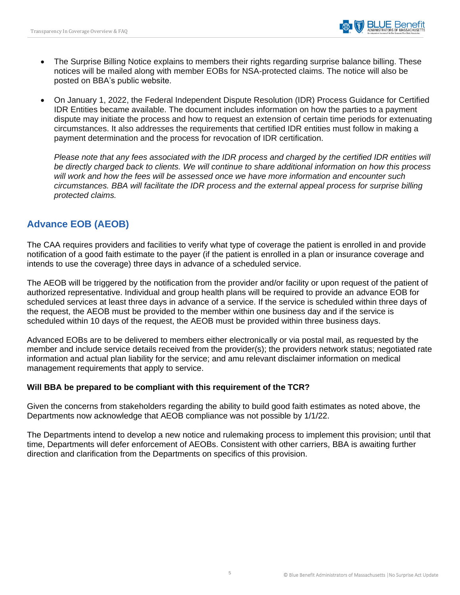- The Surprise Billing Notice explains to members their rights regarding surprise balance billing. These notices will be mailed along with member EOBs for NSA-protected claims. The notice will also be posted on BBA's public website.
- On January 1, 2022, the Federal Independent Dispute Resolution (IDR) Process Guidance for Certified IDR Entities became available. The document includes information on how the parties to a payment dispute may initiate the process and how to request an extension of certain time periods for extenuating circumstances. It also addresses the requirements that certified IDR entities must follow in making a payment determination and the process for revocation of IDR certification.

*Please note that any fees associated with the IDR process and charged by the certified IDR entities will be directly charged back to clients. We will continue to share additional information on how this process will work and how the fees will be assessed once we have more information and encounter such circumstances. BBA will facilitate the IDR process and the external appeal process for surprise billing protected claims.*

## <span id="page-5-0"></span>**Advance EOB (AEOB)**

The CAA requires providers and facilities to verify what type of coverage the patient is enrolled in and provide notification of a good faith estimate to the payer (if the patient is enrolled in a plan or insurance coverage and intends to use the coverage) three days in advance of a scheduled service.

The AEOB will be triggered by the notification from the provider and/or facility or upon request of the patient of authorized representative. Individual and group health plans will be required to provide an advance EOB for scheduled services at least three days in advance of a service. If the service is scheduled within three days of the request, the AEOB must be provided to the member within one business day and if the service is scheduled within 10 days of the request, the AEOB must be provided within three business days.

Advanced EOBs are to be delivered to members either electronically or via postal mail, as requested by the member and include service details received from the provider(s); the providers network status; negotiated rate information and actual plan liability for the service; and amu relevant disclaimer information on medical management requirements that apply to service.

## **Will BBA be prepared to be compliant with this requirement of the TCR?**

Given the concerns from stakeholders regarding the ability to build good faith estimates as noted above, the Departments now acknowledge that AEOB compliance was not possible by 1/1/22.

The Departments intend to develop a new notice and rulemaking process to implement this provision; until that time, Departments will defer enforcement of AEOBs. Consistent with other carriers, BBA is awaiting further direction and clarification from the Departments on specifics of this provision.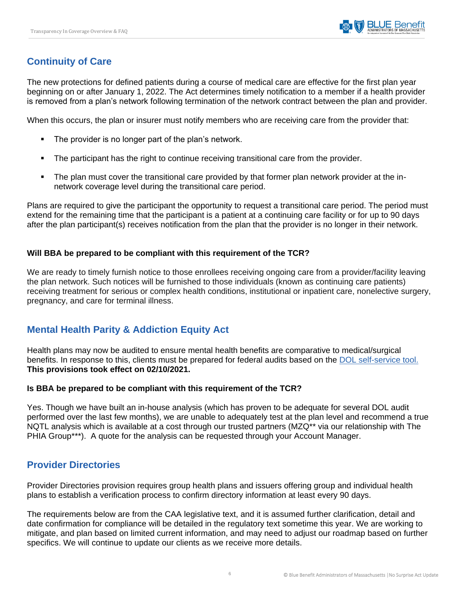## <span id="page-6-0"></span>**Continuity of Care**

The new protections for defined patients during a course of medical care are effective for the first plan year beginning on or after January 1, 2022. The Act determines timely notification to a member if a health provider is removed from a plan's network following termination of the network contract between the plan and provider.

When this occurs, the plan or insurer must notify members who are receiving care from the provider that:

- The provider is no longer part of the plan's network.
- **•** The participant has the right to continue receiving transitional care from the provider.
- The plan must cover the transitional care provided by that former plan network provider at the innetwork coverage level during the transitional care period.

Plans are required to give the participant the opportunity to request a transitional care period. The period must extend for the remaining time that the participant is a patient at a continuing care facility or for up to 90 days after the plan participant(s) receives notification from the plan that the provider is no longer in their network.

## **Will BBA be prepared to be compliant with this requirement of the TCR?**

We are ready to timely furnish notice to those enrollees receiving ongoing care from a provider/facility leaving the plan network. Such notices will be furnished to those individuals (known as continuing care patients) receiving treatment for serious or complex health conditions, institutional or inpatient care, nonelective surgery, pregnancy, and care for terminal illness.

## <span id="page-6-1"></span>**Mental Health Parity & Addiction Equity Act**

Health plans may now be audited to ensure mental health benefits are comparative to medical/surgical benefits. In response to this, clients must be prepared for federal audits based on the [DOL self-service tool.](https://www.dol.gov/agencies/ebsa/laws-and-regulations/laws/mental-health-and-substance-use-disorder-parity) **This provisions took effect on 02/10/2021.**

#### **Is BBA be prepared to be compliant with this requirement of the TCR?**

Yes. Though we have built an in-house analysis (which has proven to be adequate for several DOL audit performed over the last few months), we are unable to adequately test at the plan level and recommend a true NQTL analysis which is available at a cost through our trusted partners (MZQ\*\* via our relationship with The PHIA Group\*\*\*). A quote for the analysis can be requested through your Account Manager.

## <span id="page-6-2"></span>**Provider Directories**

Provider Directories provision requires group health plans and issuers offering group and individual health plans to establish a verification process to confirm directory information at least every 90 days.

The requirements below are from the CAA legislative text, and it is assumed further clarification, detail and date confirmation for compliance will be detailed in the regulatory text sometime this year. We are working to mitigate, and plan based on limited current information, and may need to adjust our roadmap based on further specifics. We will continue to update our clients as we receive more details.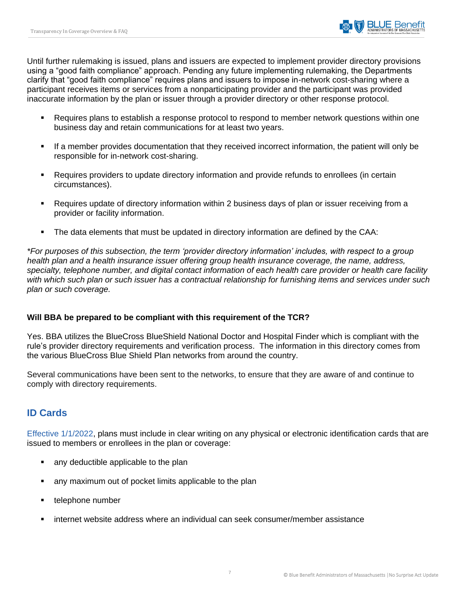Until further rulemaking is issued, plans and issuers are expected to implement provider directory provisions using a "good faith compliance" approach. Pending any future implementing rulemaking, the Departments clarify that "good faith compliance" requires plans and issuers to impose in-network cost-sharing where a participant receives items or services from a nonparticipating provider and the participant was provided inaccurate information by the plan or issuer through a provider directory or other response protocol.

- Requires plans to establish a response protocol to respond to member network questions within one business day and retain communications for at least two years.
- If a member provides documentation that they received incorrect information, the patient will only be responsible for in-network cost-sharing.
- Requires providers to update directory information and provide refunds to enrollees (in certain circumstances).
- Requires update of directory information within 2 business days of plan or issuer receiving from a provider or facility information.
- The data elements that must be updated in directory information are defined by the CAA:

*\*For purposes of this subsection, the term 'provider directory information' includes, with respect to a group health plan and a health insurance issuer offering group health insurance coverage, the name, address, specialty, telephone number, and digital contact information of each health care provider or health care facility with which such plan or such issuer has a contractual relationship for furnishing items and services under such plan or such coverage.*

## **Will BBA be prepared to be compliant with this requirement of the TCR?**

Yes. BBA utilizes the BlueCross BlueShield National Doctor and Hospital Finder which is compliant with the rule's provider directory requirements and verification process. The information in this directory comes from the various BlueCross Blue Shield Plan networks from around the country.

Several communications have been sent to the networks, to ensure that they are aware of and continue to comply with directory requirements.

## <span id="page-7-0"></span>**ID Cards**

Effective 1/1/2022, plans must include in clear writing on any physical or electronic identification cards that are issued to members or enrollees in the plan or coverage:

- any deductible applicable to the plan
- any maximum out of pocket limits applicable to the plan
- telephone number
- internet website address where an individual can seek consumer/member assistance